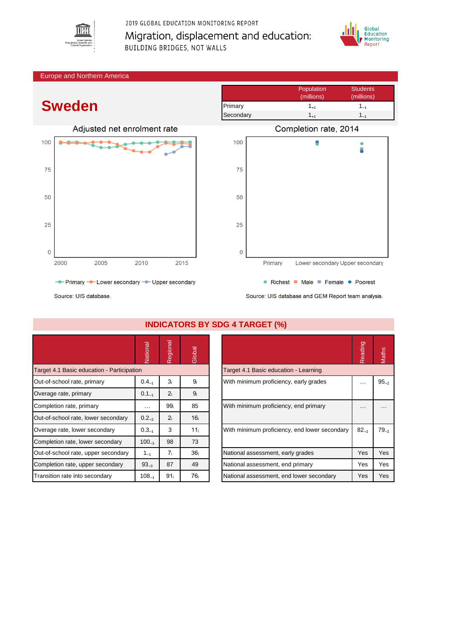

### 2019 GLOBAL EDUCATION MONITORING REPORT Migration, displacement and education: **BUILDING BRIDGES, NOT WALLS**



Population Students

#### Europe and Northern America

# **Sweden**





Source: UIS database

|                                            | Vational   | Regional        | Global          |                                               | Reading   | Maths     |  |  |  |  |  |
|--------------------------------------------|------------|-----------------|-----------------|-----------------------------------------------|-----------|-----------|--|--|--|--|--|
| Target 4.1 Basic education - Participation |            |                 |                 | Target 4.1 Basic education - Learning         |           |           |  |  |  |  |  |
| Out-of-school rate, primary                | $0.4_{-1}$ | 3 <sub>i</sub>  | 9 <sub>i</sub>  | With minimum proficiency, early grades        | .         | $95 - 2$  |  |  |  |  |  |
| Overage rate, primary                      | $0.1_{-1}$ | 2 <sub>i</sub>  | 9 <sub>i</sub>  |                                               |           |           |  |  |  |  |  |
| Completion rate, primary                   | $\cdots$   | 99 <sub>i</sub> | 85              | With minimum proficiency, end primary         | $\cdots$  | $\cdots$  |  |  |  |  |  |
| Out-of-school rate, lower secondary        | $0.2_{-2}$ | 2 <sub>i</sub>  | 16 <sub>i</sub> |                                               |           |           |  |  |  |  |  |
| Overage rate, lower secondary              | $0.3_{-1}$ | 3               | 11 <sub>i</sub> | With minimum proficiency, end lower secondary | $82_{-2}$ | $79_{-2}$ |  |  |  |  |  |
| Completion rate, lower secondary           | $100_{-3}$ | 98              | 73              |                                               |           |           |  |  |  |  |  |
| Out-of-school rate, upper secondary        | $1_{-1}$   | 7 <sub>i</sub>  | 36 <sub>i</sub> | National assessment, early grades             | Yes       | Yes       |  |  |  |  |  |
| Completion rate, upper secondary           | $93_{-3}$  | 87              | 49              | National assessment, end primary              | Yes       | Yes       |  |  |  |  |  |
| Transition rate into secondary             | $108_{-1}$ | 91 <sub>i</sub> | 76 <sub>i</sub> | National assessment, end lower secondary      | Yes       | Yes       |  |  |  |  |  |

Source: UIS database and GEM Report team analysis.

|                                               | Reading | Maths     |
|-----------------------------------------------|---------|-----------|
| Target 4.1 Basic education - Learning         |         |           |
| With minimum proficiency, early grades        |         | $95_{-2}$ |
| With minimum proficiency, end primary         |         |           |
| With minimum proficiency, end lower secondary | 82.2    | $79_{-2}$ |
| National assessment, early grades             | Yes     | Yes       |
| National assessment, end primary              | Yes     | Yes       |
| National assessment, end lower secondary      | Yes     | Yes       |

# **INDICATORS BY SDG 4 TARGET (%)**